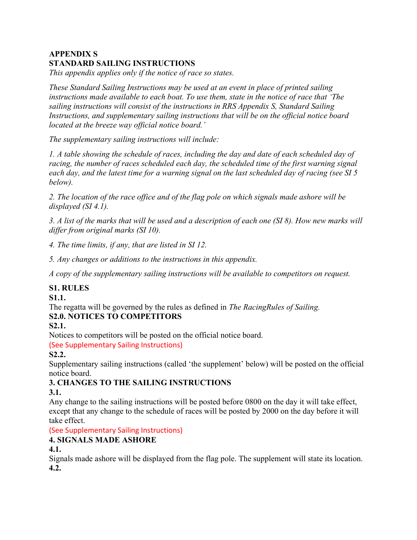## APPENDIX S STANDARD SAILING INSTRUCTIONS

This appendix applies only if the notice of race so states.

These Standard Sailing Instructions may be used at an event in place of printed sailing instructions made available to each boat. To use them, state in the notice of race that 'The sailing instructions will consist of the instructions in RRS Appendix S, Standard Sailing Instructions, and supplementary sailing instructions that will be on the official notice board located at the breeze way official notice board.'

The supplementary sailing instructions will include:

1. A table showing the schedule of races, including the day and date of each scheduled day of racing, the number of races scheduled each day, the scheduled time of the first warning signal each day, and the latest time for a warning signal on the last scheduled day of racing (see SI 5 below).

2. The location of the race office and of the flag pole on which signals made ashore will be displayed (SI 4.1).

3. A list of the marks that will be used and a description of each one (SI 8). How new marks will differ from original marks (SI 10).

4. The time limits, if any, that are listed in SI 12.

5. Any changes or additions to the instructions in this appendix.

A copy of the supplementary sailing instructions will be available to competitors on request.

#### S1. RULES

S1.1.

The regatta will be governed by the rules as defined in The RacingRules of Sailing. S2.0. NOTICES TO COMPETITORS

S2.1.

Notices to competitors will be posted on the official notice board.

(See Supplementary Sailing Instructions)

S2.2.

Supplementary sailing instructions (called 'the supplement' below) will be posted on the official notice board.

# 3. CHANGES TO THE SAILING INSTRUCTIONS

#### 3.1.

Any change to the sailing instructions will be posted before 0800 on the day it will take effect, except that any change to the schedule of races will be posted by 2000 on the day before it will take effect.

(See Supplementary Sailing Instructions)

## 4. SIGNALS MADE ASHORE

4.1.

Signals made ashore will be displayed from the flag pole. The supplement will state its location. 4.2.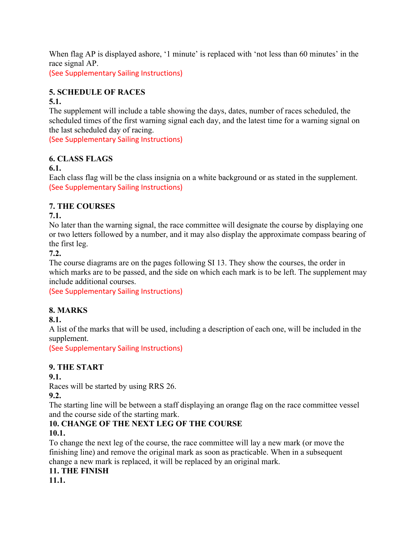When flag AP is displayed ashore, '1 minute' is replaced with 'not less than 60 minutes' in the race signal AP.

(See Supplementary Sailing Instructions)

## 5. SCHEDULE OF RACES

#### 5.1.

The supplement will include a table showing the days, dates, number of races scheduled, the scheduled times of the first warning signal each day, and the latest time for a warning signal on the last scheduled day of racing.

(See Supplementary Sailing Instructions)

## 6. CLASS FLAGS

#### 6.1.

Each class flag will be the class insignia on a white background or as stated in the supplement. (See Supplementary Sailing Instructions)

## 7. THE COURSES

## 7.1.

No later than the warning signal, the race committee will designate the course by displaying one or two letters followed by a number, and it may also display the approximate compass bearing of the first leg.

#### 7.2.

The course diagrams are on the pages following SI 13. They show the courses, the order in which marks are to be passed, and the side on which each mark is to be left. The supplement may include additional courses.

(See Supplementary Sailing Instructions)

## 8. MARKS

## 8.1.

A list of the marks that will be used, including a description of each one, will be included in the supplement.

(See Supplementary Sailing Instructions)

## 9. THE START

#### 9.1.

Races will be started by using RRS 26.

## 9.2.

The starting line will be between a staff displaying an orange flag on the race committee vessel and the course side of the starting mark.

## 10. CHANGE OF THE NEXT LEG OF THE COURSE

## 10.1.

To change the next leg of the course, the race committee will lay a new mark (or move the finishing line) and remove the original mark as soon as practicable. When in a subsequent change a new mark is replaced, it will be replaced by an original mark.

#### 11. THE FINISH

11.1.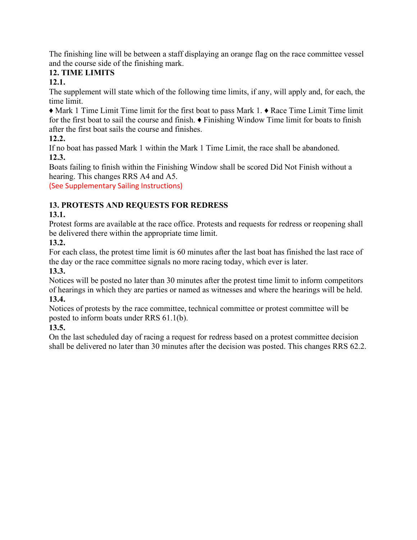The finishing line will be between a staff displaying an orange flag on the race committee vessel and the course side of the finishing mark.

# 12. TIME LIMITS

12.1.

The supplement will state which of the following time limits, if any, will apply and, for each, the time limit.

♦ Mark 1 Time Limit Time limit for the first boat to pass Mark 1. ♦ Race Time Limit Time limit for the first boat to sail the course and finish. ♦ Finishing Window Time limit for boats to finish after the first boat sails the course and finishes.

12.2.

If no boat has passed Mark 1 within the Mark 1 Time Limit, the race shall be abandoned. 12.3.

Boats failing to finish within the Finishing Window shall be scored Did Not Finish without a hearing. This changes RRS A4 and A5.

(See Supplementary Sailing Instructions)

# 13. PROTESTS AND REQUESTS FOR REDRESS

# 13.1.

Protest forms are available at the race office. Protests and requests for redress or reopening shall be delivered there within the appropriate time limit.

13.2.

For each class, the protest time limit is 60 minutes after the last boat has finished the last race of the day or the race committee signals no more racing today, which ever is later.

13.3.

Notices will be posted no later than 30 minutes after the protest time limit to inform competitors of hearings in which they are parties or named as witnesses and where the hearings will be held. 13.4.

Notices of protests by the race committee, technical committee or protest committee will be posted to inform boats under RRS 61.1(b).

13.5.

On the last scheduled day of racing a request for redress based on a protest committee decision shall be delivered no later than 30 minutes after the decision was posted. This changes RRS 62.2.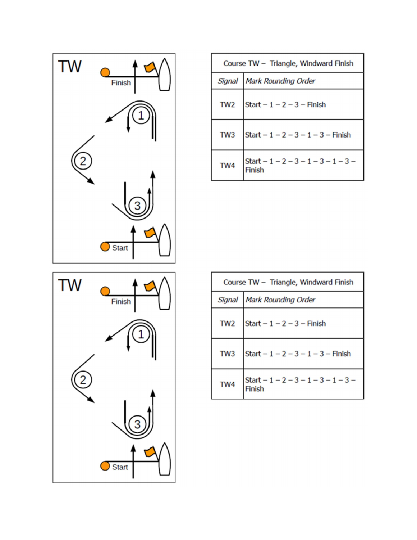

| TW | Finish |
|----|--------|
|    |        |
|    |        |
|    |        |
|    | Start  |

| Course TW - Triangle, Windward Finish |                                                        |
|---------------------------------------|--------------------------------------------------------|
|                                       | Signal Mark Rounding Order                             |
| TW <sub>2</sub>                       | Start $-1-2-3$ - Finish                                |
| TW <sub>3</sub>                       | Start - $1 - 2 - 3 - 1 - 3$ - Finish                   |
| TW <sub>4</sub>                       | Start $-1$ $-2$ $-3$ $-1$ $-3$ $-1$ $-3$ $-$<br>Finish |

| Course TW - Triangle, Windward Finish |                                                |
|---------------------------------------|------------------------------------------------|
| Signal                                | <b>Mark Rounding Order</b>                     |
| TW <sub>2</sub>                       | Start $-1-2-3$ - Finish                        |
| TW <sub>3</sub>                       | Start $-1 - 2 - 3 - 1 - 3 -$ Finish            |
| TW <sub>4</sub>                       | Start $-1 - 2 - 3 - 1 - 3 - 1 - 3 -$<br>Finish |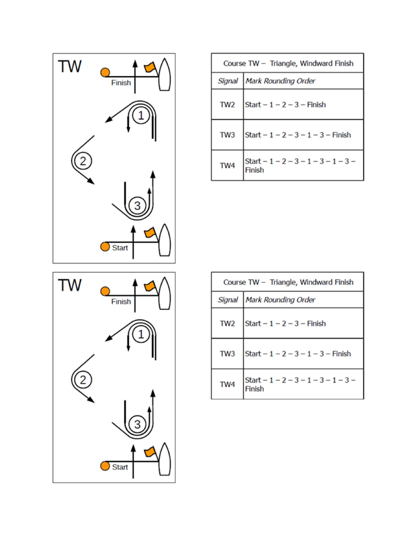

| TW | Finish |
|----|--------|
|    |        |
|    |        |
|    |        |
|    | Start  |

| Course TW - Triangle, Windward Finish |                                                        |
|---------------------------------------|--------------------------------------------------------|
|                                       | Signal Mark Rounding Order                             |
| TW <sub>2</sub>                       | Start $-1-2-3$ - Finish                                |
| TW <sub>3</sub>                       | Start - $1 - 2 - 3 - 1 - 3$ - Finish                   |
| TW <sub>4</sub>                       | Start $-1$ $-2$ $-3$ $-1$ $-3$ $-1$ $-3$ $-$<br>Finish |

| Course TW - Triangle, Windward Finish |                                                |
|---------------------------------------|------------------------------------------------|
| Signal                                | <b>Mark Rounding Order</b>                     |
| TW <sub>2</sub>                       | Start $-1-2-3$ - Finish                        |
| TW <sub>3</sub>                       | Start $-1 - 2 - 3 - 1 - 3 -$ Finish            |
| TW <sub>4</sub>                       | Start $-1 - 2 - 3 - 1 - 3 - 1 - 3 -$<br>Finish |